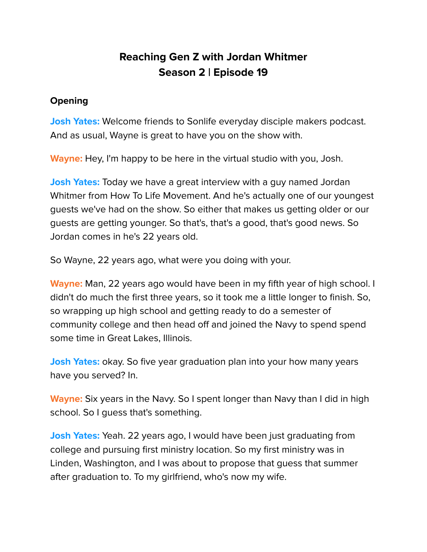# **Reaching Gen Z with Jordan Whitmer Season 2 | Episode 19**

### **Opening**

**Josh Yates:** Welcome friends to Sonlife everyday disciple makers podcast. And as usual, Wayne is great to have you on the show with.

**Wayne:** Hey, I'm happy to be here in the virtual studio with you, Josh.

**Josh Yates:** Today we have a great interview with a guy named Jordan Whitmer from How To Life Movement. And he's actually one of our youngest guests we've had on the show. So either that makes us getting older or our guests are getting younger. So that's, that's a good, that's good news. So Jordan comes in he's 22 years old.

So Wayne, 22 years ago, what were you doing with your.

**Wayne:** Man, 22 years ago would have been in my fifth year of high school. I didn't do much the first three years, so it took me a little longer to finish. So, so wrapping up high school and getting ready to do a semester of community college and then head off and joined the Navy to spend spend some time in Great Lakes, Illinois.

**Josh Yates:** okay. So five year graduation plan into your how many years have you served? In.

**Wayne:** Six years in the Navy. So I spent longer than Navy than I did in high school. So I guess that's something.

**Josh Yates:** Yeah. 22 years ago, I would have been just graduating from college and pursuing first ministry location. So my first ministry was in Linden, Washington, and I was about to propose that guess that summer after graduation to. To my girlfriend, who's now my wife.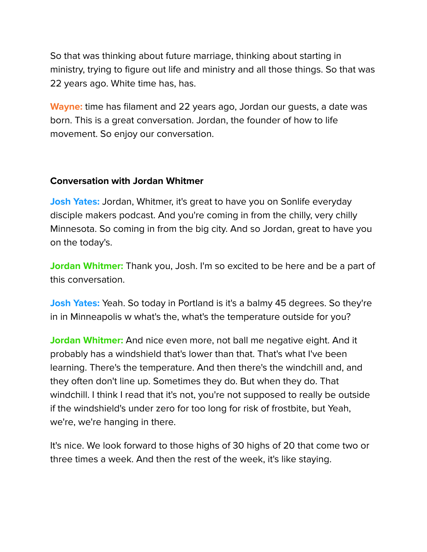So that was thinking about future marriage, thinking about starting in ministry, trying to figure out life and ministry and all those things. So that was 22 years ago. White time has, has.

**Wayne:** time has filament and 22 years ago, Jordan our guests, a date was born. This is a great conversation. Jordan, the founder of how to life movement. So enjoy our conversation.

## **Conversation with Jordan Whitmer**

**Josh Yates:** Jordan, Whitmer, it's great to have you on Sonlife everyday disciple makers podcast. And you're coming in from the chilly, very chilly Minnesota. So coming in from the big city. And so Jordan, great to have you on the today's.

**Jordan Whitmer:** Thank you, Josh. I'm so excited to be here and be a part of this conversation.

**Josh Yates:** Yeah. So today in Portland is it's a balmy 45 degrees. So they're in in Minneapolis w what's the, what's the temperature outside for you?

**Jordan Whitmer:** And nice even more, not ball me negative eight. And it probably has a windshield that's lower than that. That's what I've been learning. There's the temperature. And then there's the windchill and, and they often don't line up. Sometimes they do. But when they do. That windchill. I think I read that it's not, you're not supposed to really be outside if the windshield's under zero for too long for risk of frostbite, but Yeah, we're, we're hanging in there.

It's nice. We look forward to those highs of 30 highs of 20 that come two or three times a week. And then the rest of the week, it's like staying.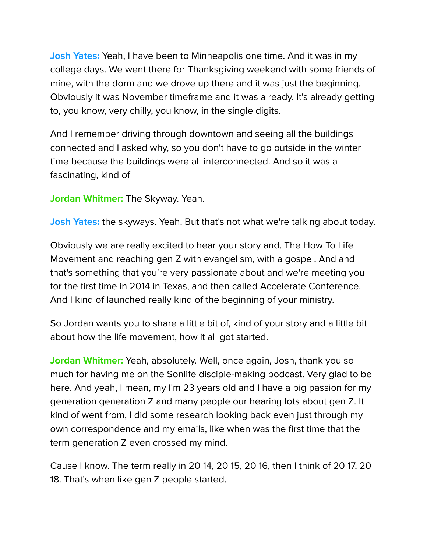**Josh Yates:** Yeah, I have been to Minneapolis one time. And it was in my college days. We went there for Thanksgiving weekend with some friends of mine, with the dorm and we drove up there and it was just the beginning. Obviously it was November timeframe and it was already. It's already getting to, you know, very chilly, you know, in the single digits.

And I remember driving through downtown and seeing all the buildings connected and I asked why, so you don't have to go outside in the winter time because the buildings were all interconnected. And so it was a fascinating, kind of

**Jordan Whitmer:** The Skyway. Yeah.

**Josh Yates:** the skyways. Yeah. But that's not what we're talking about today.

Obviously we are really excited to hear your story and. The How To Life Movement and reaching gen Z with evangelism, with a gospel. And and that's something that you're very passionate about and we're meeting you for the first time in 2014 in Texas, and then called Accelerate Conference. And I kind of launched really kind of the beginning of your ministry.

So Jordan wants you to share a little bit of, kind of your story and a little bit about how the life movement, how it all got started.

**Jordan Whitmer:** Yeah, absolutely. Well, once again, Josh, thank you so much for having me on the Sonlife disciple-making podcast. Very glad to be here. And yeah, I mean, my I'm 23 years old and I have a big passion for my generation generation Z and many people our hearing lots about gen Z. It kind of went from, I did some research looking back even just through my own correspondence and my emails, like when was the first time that the term generation Z even crossed my mind.

Cause I know. The term really in 20 14, 20 15, 20 16, then I think of 20 17, 20 18. That's when like gen Z people started.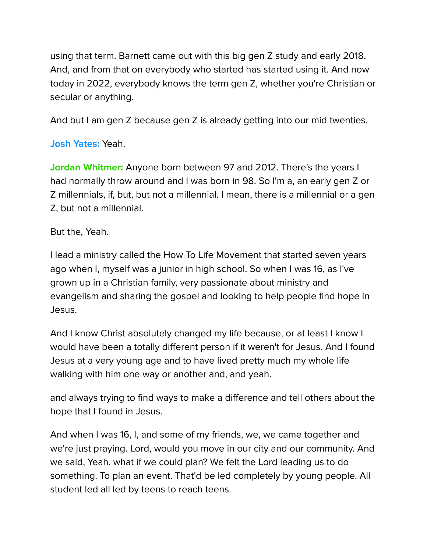using that term. Barnett came out with this big gen Z study and early 2018. And, and from that on everybody who started has started using it. And now today in 2022, everybody knows the term gen Z, whether you're Christian or secular or anything.

And but I am gen Z because gen Z is already getting into our mid twenties.

# **Josh Yates:** Yeah.

**Jordan Whitmer:** Anyone born between 97 and 2012. There's the years I had normally throw around and I was born in 98. So I'm a, an early gen Z or Z millennials, if, but, but not a millennial. I mean, there is a millennial or a gen Z, but not a millennial.

## But the, Yeah.

I lead a ministry called the How To Life Movement that started seven years ago when I, myself was a junior in high school. So when I was 16, as I've grown up in a Christian family, very passionate about ministry and evangelism and sharing the gospel and looking to help people find hope in Jesus.

And I know Christ absolutely changed my life because, or at least I know I would have been a totally different person if it weren't for Jesus. And I found Jesus at a very young age and to have lived pretty much my whole life walking with him one way or another and, and yeah.

and always trying to find ways to make a difference and tell others about the hope that I found in Jesus.

And when I was 16, I, and some of my friends, we, we came together and we're just praying. Lord, would you move in our city and our community. And we said, Yeah. what if we could plan? We felt the Lord leading us to do something. To plan an event. That'd be led completely by young people. All student led all led by teens to reach teens.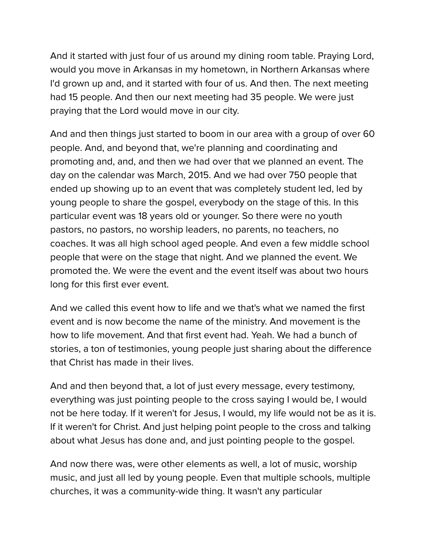And it started with just four of us around my dining room table. Praying Lord, would you move in Arkansas in my hometown, in Northern Arkansas where I'd grown up and, and it started with four of us. And then. The next meeting had 15 people. And then our next meeting had 35 people. We were just praying that the Lord would move in our city.

And and then things just started to boom in our area with a group of over 60 people. And, and beyond that, we're planning and coordinating and promoting and, and, and then we had over that we planned an event. The day on the calendar was March, 2015. And we had over 750 people that ended up showing up to an event that was completely student led, led by young people to share the gospel, everybody on the stage of this. In this particular event was 18 years old or younger. So there were no youth pastors, no pastors, no worship leaders, no parents, no teachers, no coaches. It was all high school aged people. And even a few middle school people that were on the stage that night. And we planned the event. We promoted the. We were the event and the event itself was about two hours long for this first ever event.

And we called this event how to life and we that's what we named the first event and is now become the name of the ministry. And movement is the how to life movement. And that first event had. Yeah. We had a bunch of stories, a ton of testimonies, young people just sharing about the difference that Christ has made in their lives.

And and then beyond that, a lot of just every message, every testimony, everything was just pointing people to the cross saying I would be, I would not be here today. If it weren't for Jesus, I would, my life would not be as it is. If it weren't for Christ. And just helping point people to the cross and talking about what Jesus has done and, and just pointing people to the gospel.

And now there was, were other elements as well, a lot of music, worship music, and just all led by young people. Even that multiple schools, multiple churches, it was a community-wide thing. It wasn't any particular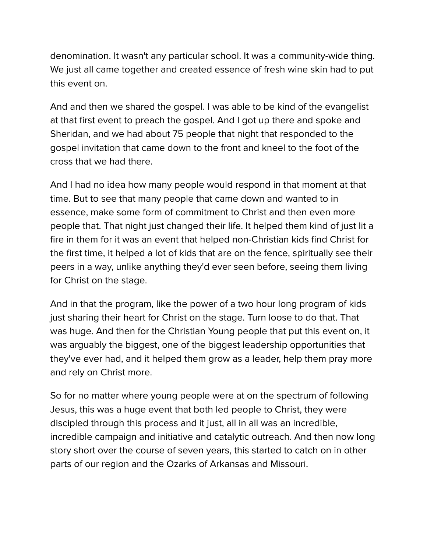denomination. It wasn't any particular school. It was a community-wide thing. We just all came together and created essence of fresh wine skin had to put this event on.

And and then we shared the gospel. I was able to be kind of the evangelist at that first event to preach the gospel. And I got up there and spoke and Sheridan, and we had about 75 people that night that responded to the gospel invitation that came down to the front and kneel to the foot of the cross that we had there.

And I had no idea how many people would respond in that moment at that time. But to see that many people that came down and wanted to in essence, make some form of commitment to Christ and then even more people that. That night just changed their life. It helped them kind of just lit a fire in them for it was an event that helped non-Christian kids find Christ for the first time, it helped a lot of kids that are on the fence, spiritually see their peers in a way, unlike anything they'd ever seen before, seeing them living for Christ on the stage.

And in that the program, like the power of a two hour long program of kids just sharing their heart for Christ on the stage. Turn loose to do that. That was huge. And then for the Christian Young people that put this event on, it was arguably the biggest, one of the biggest leadership opportunities that they've ever had, and it helped them grow as a leader, help them pray more and rely on Christ more.

So for no matter where young people were at on the spectrum of following Jesus, this was a huge event that both led people to Christ, they were discipled through this process and it just, all in all was an incredible, incredible campaign and initiative and catalytic outreach. And then now long story short over the course of seven years, this started to catch on in other parts of our region and the Ozarks of Arkansas and Missouri.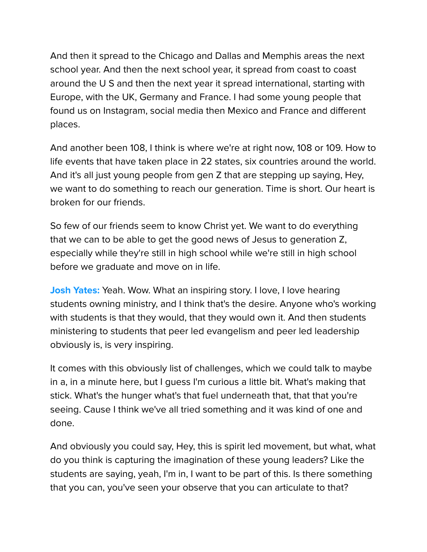And then it spread to the Chicago and Dallas and Memphis areas the next school year. And then the next school year, it spread from coast to coast around the U S and then the next year it spread international, starting with Europe, with the UK, Germany and France. I had some young people that found us on Instagram, social media then Mexico and France and different places.

And another been 108, I think is where we're at right now, 108 or 109. How to life events that have taken place in 22 states, six countries around the world. And it's all just young people from gen Z that are stepping up saying, Hey, we want to do something to reach our generation. Time is short. Our heart is broken for our friends.

So few of our friends seem to know Christ yet. We want to do everything that we can to be able to get the good news of Jesus to generation Z, especially while they're still in high school while we're still in high school before we graduate and move on in life.

**Josh Yates:** Yeah. Wow. What an inspiring story. I love, I love hearing students owning ministry, and I think that's the desire. Anyone who's working with students is that they would, that they would own it. And then students ministering to students that peer led evangelism and peer led leadership obviously is, is very inspiring.

It comes with this obviously list of challenges, which we could talk to maybe in a, in a minute here, but I guess I'm curious a little bit. What's making that stick. What's the hunger what's that fuel underneath that, that that you're seeing. Cause I think we've all tried something and it was kind of one and done.

And obviously you could say, Hey, this is spirit led movement, but what, what do you think is capturing the imagination of these young leaders? Like the students are saying, yeah, I'm in, I want to be part of this. Is there something that you can, you've seen your observe that you can articulate to that?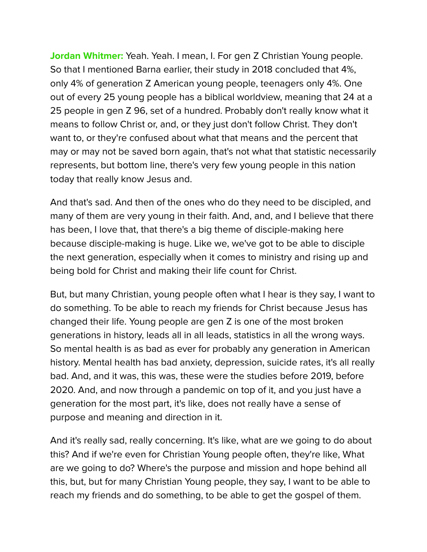**Jordan Whitmer:** Yeah. Yeah. I mean, I. For gen Z Christian Young people. So that I mentioned Barna earlier, their study in 2018 concluded that 4%, only 4% of generation Z American young people, teenagers only 4%. One out of every 25 young people has a biblical worldview, meaning that 24 at a 25 people in gen Z 96, set of a hundred. Probably don't really know what it means to follow Christ or, and, or they just don't follow Christ. They don't want to, or they're confused about what that means and the percent that may or may not be saved born again, that's not what that statistic necessarily represents, but bottom line, there's very few young people in this nation today that really know Jesus and.

And that's sad. And then of the ones who do they need to be discipled, and many of them are very young in their faith. And, and, and I believe that there has been, I love that, that there's a big theme of disciple-making here because disciple-making is huge. Like we, we've got to be able to disciple the next generation, especially when it comes to ministry and rising up and being bold for Christ and making their life count for Christ.

But, but many Christian, young people often what I hear is they say, I want to do something. To be able to reach my friends for Christ because Jesus has changed their life. Young people are gen Z is one of the most broken generations in history, leads all in all leads, statistics in all the wrong ways. So mental health is as bad as ever for probably any generation in American history. Mental health has bad anxiety, depression, suicide rates, it's all really bad. And, and it was, this was, these were the studies before 2019, before 2020. And, and now through a pandemic on top of it, and you just have a generation for the most part, it's like, does not really have a sense of purpose and meaning and direction in it.

And it's really sad, really concerning. It's like, what are we going to do about this? And if we're even for Christian Young people often, they're like, What are we going to do? Where's the purpose and mission and hope behind all this, but, but for many Christian Young people, they say, I want to be able to reach my friends and do something, to be able to get the gospel of them.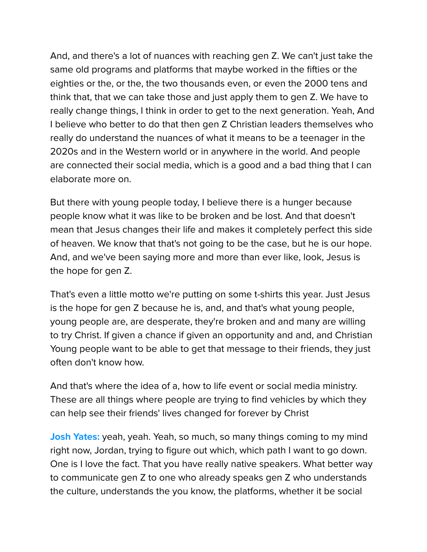And, and there's a lot of nuances with reaching gen Z. We can't just take the same old programs and platforms that maybe worked in the fifties or the eighties or the, or the, the two thousands even, or even the 2000 tens and think that, that we can take those and just apply them to gen Z. We have to really change things, I think in order to get to the next generation. Yeah, And I believe who better to do that then gen Z Christian leaders themselves who really do understand the nuances of what it means to be a teenager in the 2020s and in the Western world or in anywhere in the world. And people are connected their social media, which is a good and a bad thing that I can elaborate more on.

But there with young people today, I believe there is a hunger because people know what it was like to be broken and be lost. And that doesn't mean that Jesus changes their life and makes it completely perfect this side of heaven. We know that that's not going to be the case, but he is our hope. And, and we've been saying more and more than ever like, look, Jesus is the hope for gen Z.

That's even a little motto we're putting on some t-shirts this year. Just Jesus is the hope for gen Z because he is, and, and that's what young people, young people are, are desperate, they're broken and and many are willing to try Christ. If given a chance if given an opportunity and and, and Christian Young people want to be able to get that message to their friends, they just often don't know how.

And that's where the idea of a, how to life event or social media ministry. These are all things where people are trying to find vehicles by which they can help see their friends' lives changed for forever by Christ

**Josh Yates:** yeah, yeah. Yeah, so much, so many things coming to my mind right now, Jordan, trying to figure out which, which path I want to go down. One is I love the fact. That you have really native speakers. What better way to communicate gen Z to one who already speaks gen Z who understands the culture, understands the you know, the platforms, whether it be social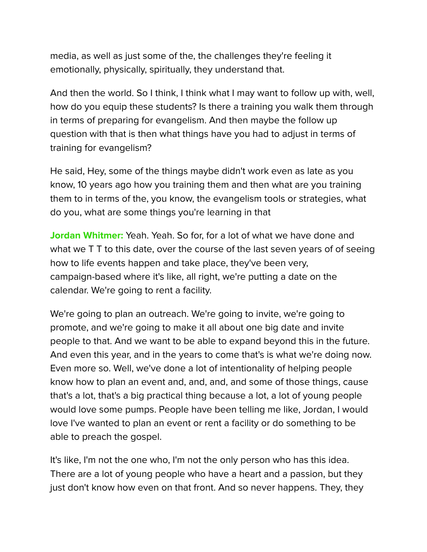media, as well as just some of the, the challenges they're feeling it emotionally, physically, spiritually, they understand that.

And then the world. So I think, I think what I may want to follow up with, well, how do you equip these students? Is there a training you walk them through in terms of preparing for evangelism. And then maybe the follow up question with that is then what things have you had to adjust in terms of training for evangelism?

He said, Hey, some of the things maybe didn't work even as late as you know, 10 years ago how you training them and then what are you training them to in terms of the, you know, the evangelism tools or strategies, what do you, what are some things you're learning in that

**Jordan Whitmer:** Yeah. Yeah. So for, for a lot of what we have done and what we T T to this date, over the course of the last seven years of of seeing how to life events happen and take place, they've been very, campaign-based where it's like, all right, we're putting a date on the calendar. We're going to rent a facility.

We're going to plan an outreach. We're going to invite, we're going to promote, and we're going to make it all about one big date and invite people to that. And we want to be able to expand beyond this in the future. And even this year, and in the years to come that's is what we're doing now. Even more so. Well, we've done a lot of intentionality of helping people know how to plan an event and, and, and, and some of those things, cause that's a lot, that's a big practical thing because a lot, a lot of young people would love some pumps. People have been telling me like, Jordan, I would love I've wanted to plan an event or rent a facility or do something to be able to preach the gospel.

It's like, I'm not the one who, I'm not the only person who has this idea. There are a lot of young people who have a heart and a passion, but they just don't know how even on that front. And so never happens. They, they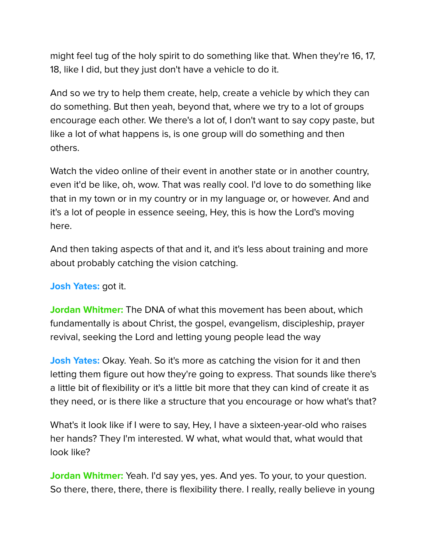might feel tug of the holy spirit to do something like that. When they're 16, 17, 18, like I did, but they just don't have a vehicle to do it.

And so we try to help them create, help, create a vehicle by which they can do something. But then yeah, beyond that, where we try to a lot of groups encourage each other. We there's a lot of, I don't want to say copy paste, but like a lot of what happens is, is one group will do something and then others.

Watch the video online of their event in another state or in another country, even it'd be like, oh, wow. That was really cool. I'd love to do something like that in my town or in my country or in my language or, or however. And and it's a lot of people in essence seeing, Hey, this is how the Lord's moving here.

And then taking aspects of that and it, and it's less about training and more about probably catching the vision catching.

**Josh Yates:** got it.

**Jordan Whitmer:** The DNA of what this movement has been about, which fundamentally is about Christ, the gospel, evangelism, discipleship, prayer revival, seeking the Lord and letting young people lead the way

**Josh Yates:** Okay. Yeah. So it's more as catching the vision for it and then letting them figure out how they're going to express. That sounds like there's a little bit of flexibility or it's a little bit more that they can kind of create it as they need, or is there like a structure that you encourage or how what's that?

What's it look like if I were to say, Hey, I have a sixteen-year-old who raises her hands? They I'm interested. W what, what would that, what would that look like?

**Jordan Whitmer:** Yeah. I'd say yes, yes. And yes. To your, to your question. So there, there, there, there is flexibility there. I really, really believe in young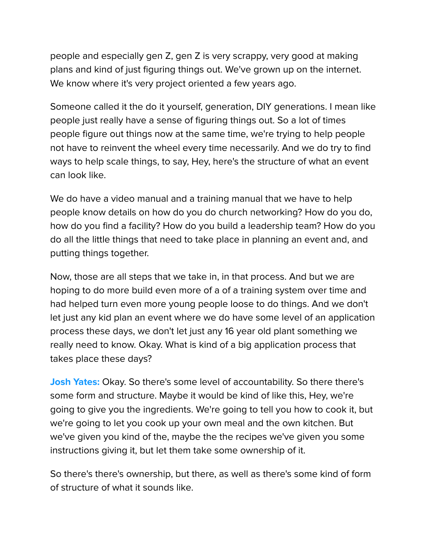people and especially gen Z, gen Z is very scrappy, very good at making plans and kind of just figuring things out. We've grown up on the internet. We know where it's very project oriented a few years ago.

Someone called it the do it yourself, generation, DIY generations. I mean like people just really have a sense of figuring things out. So a lot of times people figure out things now at the same time, we're trying to help people not have to reinvent the wheel every time necessarily. And we do try to find ways to help scale things, to say, Hey, here's the structure of what an event can look like.

We do have a video manual and a training manual that we have to help people know details on how do you do church networking? How do you do, how do you find a facility? How do you build a leadership team? How do you do all the little things that need to take place in planning an event and, and putting things together.

Now, those are all steps that we take in, in that process. And but we are hoping to do more build even more of a of a training system over time and had helped turn even more young people loose to do things. And we don't let just any kid plan an event where we do have some level of an application process these days, we don't let just any 16 year old plant something we really need to know. Okay. What is kind of a big application process that takes place these days?

**Josh Yates:** Okay. So there's some level of accountability. So there there's some form and structure. Maybe it would be kind of like this, Hey, we're going to give you the ingredients. We're going to tell you how to cook it, but we're going to let you cook up your own meal and the own kitchen. But we've given you kind of the, maybe the the recipes we've given you some instructions giving it, but let them take some ownership of it.

So there's there's ownership, but there, as well as there's some kind of form of structure of what it sounds like.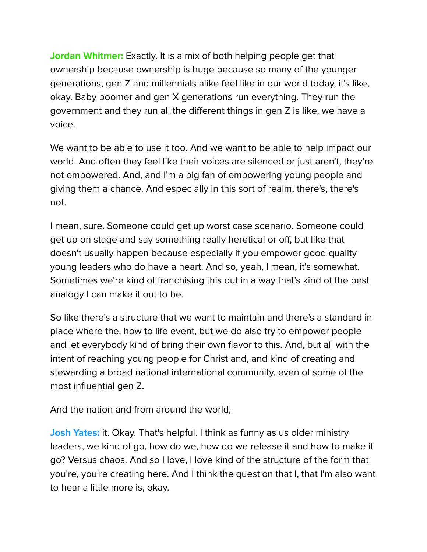**Jordan Whitmer:** Exactly. It is a mix of both helping people get that ownership because ownership is huge because so many of the younger generations, gen Z and millennials alike feel like in our world today, it's like, okay. Baby boomer and gen X generations run everything. They run the government and they run all the different things in gen Z is like, we have a voice.

We want to be able to use it too. And we want to be able to help impact our world. And often they feel like their voices are silenced or just aren't, they're not empowered. And, and I'm a big fan of empowering young people and giving them a chance. And especially in this sort of realm, there's, there's not.

I mean, sure. Someone could get up worst case scenario. Someone could get up on stage and say something really heretical or off, but like that doesn't usually happen because especially if you empower good quality young leaders who do have a heart. And so, yeah, I mean, it's somewhat. Sometimes we're kind of franchising this out in a way that's kind of the best analogy I can make it out to be.

So like there's a structure that we want to maintain and there's a standard in place where the, how to life event, but we do also try to empower people and let everybody kind of bring their own flavor to this. And, but all with the intent of reaching young people for Christ and, and kind of creating and stewarding a broad national international community, even of some of the most influential gen Z.

And the nation and from around the world,

**Josh Yates:** it. Okay. That's helpful. I think as funny as us older ministry leaders, we kind of go, how do we, how do we release it and how to make it go? Versus chaos. And so I love, I love kind of the structure of the form that you're, you're creating here. And I think the question that I, that I'm also want to hear a little more is, okay.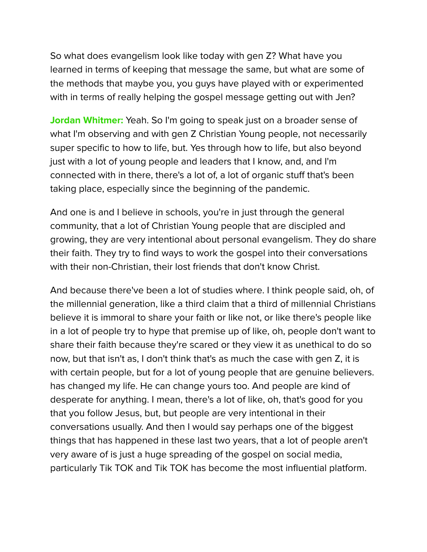So what does evangelism look like today with gen Z? What have you learned in terms of keeping that message the same, but what are some of the methods that maybe you, you guys have played with or experimented with in terms of really helping the gospel message getting out with Jen?

**Jordan Whitmer:** Yeah. So I'm going to speak just on a broader sense of what I'm observing and with gen Z Christian Young people, not necessarily super specific to how to life, but. Yes through how to life, but also beyond just with a lot of young people and leaders that I know, and, and I'm connected with in there, there's a lot of, a lot of organic stuff that's been taking place, especially since the beginning of the pandemic.

And one is and I believe in schools, you're in just through the general community, that a lot of Christian Young people that are discipled and growing, they are very intentional about personal evangelism. They do share their faith. They try to find ways to work the gospel into their conversations with their non-Christian, their lost friends that don't know Christ.

And because there've been a lot of studies where. I think people said, oh, of the millennial generation, like a third claim that a third of millennial Christians believe it is immoral to share your faith or like not, or like there's people like in a lot of people try to hype that premise up of like, oh, people don't want to share their faith because they're scared or they view it as unethical to do so now, but that isn't as, I don't think that's as much the case with gen Z, it is with certain people, but for a lot of young people that are genuine believers. has changed my life. He can change yours too. And people are kind of desperate for anything. I mean, there's a lot of like, oh, that's good for you that you follow Jesus, but, but people are very intentional in their conversations usually. And then I would say perhaps one of the biggest things that has happened in these last two years, that a lot of people aren't very aware of is just a huge spreading of the gospel on social media, particularly Tik TOK and Tik TOK has become the most influential platform.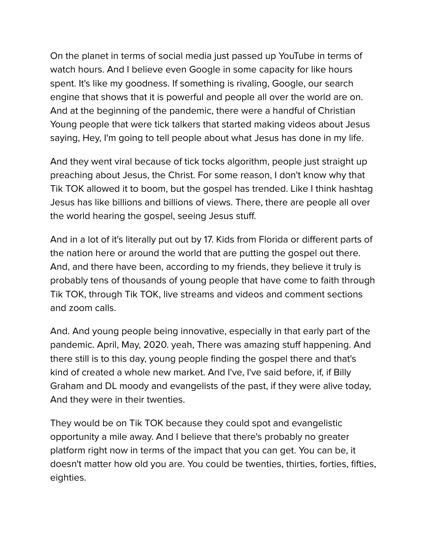On the planet in terms of social media just passed up YouTube in terms of watch hours. And I believe even Google in some capacity for like hours spent. It's like my goodness. If something is rivaling, Google, our search engine that shows that it is powerful and people all over the world are on. And at the beginning of the pandemic, there were a handful of Christian Young people that were tick talkers that started making videos about Jesus saying, Hey, I'm going to tell people about what Jesus has done in my life.

And they went viral because of tick tocks algorithm, people just straight up preaching about Jesus, the Christ. For some reason, I don't know why that Tik TOK allowed it to boom, but the gospel has trended. Like I think hashtag Jesus has like billions and billions of views. There, there are people all over the world hearing the gospel, seeing Jesus stuff.

And in a lot of it's literally put out by 17. Kids from Florida or different parts of the nation here or around the world that are putting the gospel out there. And, and there have been, according to my friends, they believe it truly is probably tens of thousands of young people that have come to faith through Tik TOK, through Tik TOK, live streams and videos and comment sections and zoom calls.

And. And young people being innovative, especially in that early part of the pandemic. April, May, 2020. yeah, There was amazing stuff happening. And there still is to this day, young people finding the gospel there and that's kind of created a whole new market. And I've, I've said before, if, if Billy Graham and DL moody and evangelists of the past, if they were alive today, And they were in their twenties.

They would be on Tik TOK because they could spot and evangelistic opportunity a mile away. And I believe that there's probably no greater platform right now in terms of the impact that you can get. You can be, it doesn't matter how old you are. You could be twenties, thirties, forties, fifties, eighties.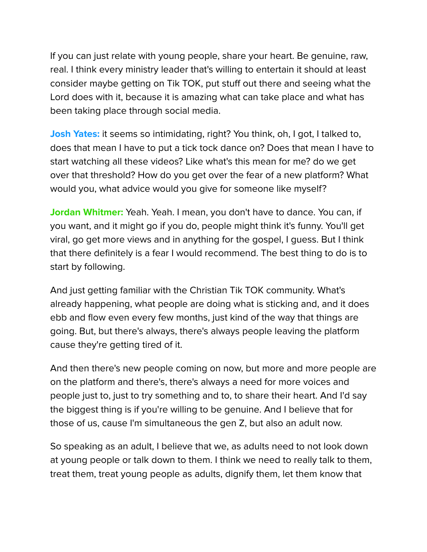If you can just relate with young people, share your heart. Be genuine, raw, real. I think every ministry leader that's willing to entertain it should at least consider maybe getting on Tik TOK, put stuff out there and seeing what the Lord does with it, because it is amazing what can take place and what has been taking place through social media.

**Josh Yates:** it seems so intimidating, right? You think, oh, I got, I talked to, does that mean I have to put a tick tock dance on? Does that mean I have to start watching all these videos? Like what's this mean for me? do we get over that threshold? How do you get over the fear of a new platform? What would you, what advice would you give for someone like myself?

**Jordan Whitmer:** Yeah. Yeah. I mean, you don't have to dance. You can, if you want, and it might go if you do, people might think it's funny. You'll get viral, go get more views and in anything for the gospel, I guess. But I think that there definitely is a fear I would recommend. The best thing to do is to start by following.

And just getting familiar with the Christian Tik TOK community. What's already happening, what people are doing what is sticking and, and it does ebb and flow even every few months, just kind of the way that things are going. But, but there's always, there's always people leaving the platform cause they're getting tired of it.

And then there's new people coming on now, but more and more people are on the platform and there's, there's always a need for more voices and people just to, just to try something and to, to share their heart. And I'd say the biggest thing is if you're willing to be genuine. And I believe that for those of us, cause I'm simultaneous the gen Z, but also an adult now.

So speaking as an adult, I believe that we, as adults need to not look down at young people or talk down to them. I think we need to really talk to them, treat them, treat young people as adults, dignify them, let them know that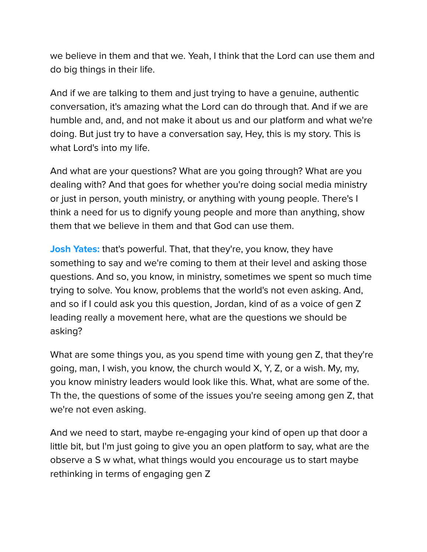we believe in them and that we. Yeah, I think that the Lord can use them and do big things in their life.

And if we are talking to them and just trying to have a genuine, authentic conversation, it's amazing what the Lord can do through that. And if we are humble and, and, and not make it about us and our platform and what we're doing. But just try to have a conversation say, Hey, this is my story. This is what Lord's into my life.

And what are your questions? What are you going through? What are you dealing with? And that goes for whether you're doing social media ministry or just in person, youth ministry, or anything with young people. There's I think a need for us to dignify young people and more than anything, show them that we believe in them and that God can use them.

**Josh Yates:** that's powerful. That, that they're, you know, they have something to say and we're coming to them at their level and asking those questions. And so, you know, in ministry, sometimes we spent so much time trying to solve. You know, problems that the world's not even asking. And, and so if I could ask you this question, Jordan, kind of as a voice of gen Z leading really a movement here, what are the questions we should be asking?

What are some things you, as you spend time with young gen Z, that they're going, man, I wish, you know, the church would X, Y, Z, or a wish. My, my, you know ministry leaders would look like this. What, what are some of the. Th the, the questions of some of the issues you're seeing among gen Z, that we're not even asking.

And we need to start, maybe re-engaging your kind of open up that door a little bit, but I'm just going to give you an open platform to say, what are the observe a S w what, what things would you encourage us to start maybe rethinking in terms of engaging gen Z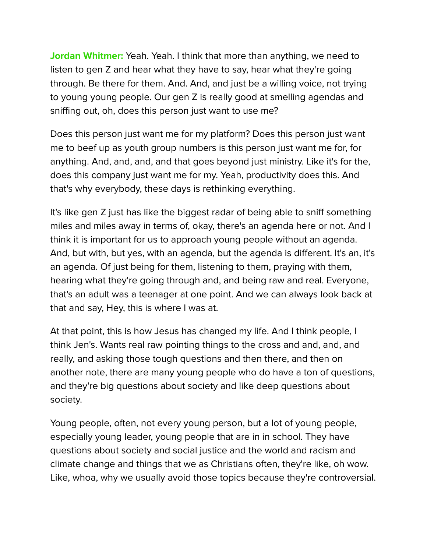**Jordan Whitmer:** Yeah. Yeah. I think that more than anything, we need to listen to gen Z and hear what they have to say, hear what they're going through. Be there for them. And. And, and just be a willing voice, not trying to young young people. Our gen Z is really good at smelling agendas and sniffing out, oh, does this person just want to use me?

Does this person just want me for my platform? Does this person just want me to beef up as youth group numbers is this person just want me for, for anything. And, and, and, and that goes beyond just ministry. Like it's for the, does this company just want me for my. Yeah, productivity does this. And that's why everybody, these days is rethinking everything.

It's like gen Z just has like the biggest radar of being able to sniff something miles and miles away in terms of, okay, there's an agenda here or not. And I think it is important for us to approach young people without an agenda. And, but with, but yes, with an agenda, but the agenda is different. It's an, it's an agenda. Of just being for them, listening to them, praying with them, hearing what they're going through and, and being raw and real. Everyone, that's an adult was a teenager at one point. And we can always look back at that and say, Hey, this is where I was at.

At that point, this is how Jesus has changed my life. And I think people, I think Jen's. Wants real raw pointing things to the cross and and, and, and really, and asking those tough questions and then there, and then on another note, there are many young people who do have a ton of questions, and they're big questions about society and like deep questions about society.

Young people, often, not every young person, but a lot of young people, especially young leader, young people that are in in school. They have questions about society and social justice and the world and racism and climate change and things that we as Christians often, they're like, oh wow. Like, whoa, why we usually avoid those topics because they're controversial.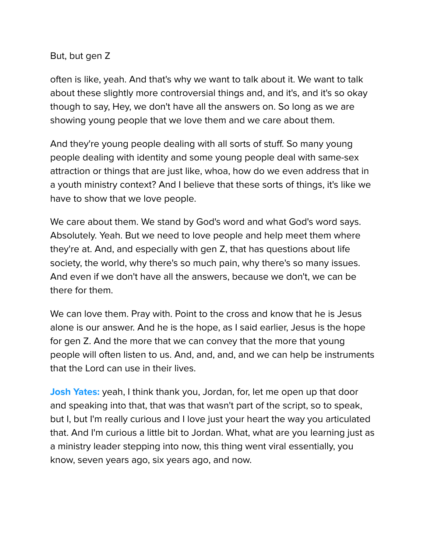#### But, but gen Z

often is like, yeah. And that's why we want to talk about it. We want to talk about these slightly more controversial things and, and it's, and it's so okay though to say, Hey, we don't have all the answers on. So long as we are showing young people that we love them and we care about them.

And they're young people dealing with all sorts of stuff. So many young people dealing with identity and some young people deal with same-sex attraction or things that are just like, whoa, how do we even address that in a youth ministry context? And I believe that these sorts of things, it's like we have to show that we love people.

We care about them. We stand by God's word and what God's word says. Absolutely. Yeah. But we need to love people and help meet them where they're at. And, and especially with gen Z, that has questions about life society, the world, why there's so much pain, why there's so many issues. And even if we don't have all the answers, because we don't, we can be there for them.

We can love them. Pray with. Point to the cross and know that he is Jesus alone is our answer. And he is the hope, as I said earlier, Jesus is the hope for gen Z. And the more that we can convey that the more that young people will often listen to us. And, and, and, and we can help be instruments that the Lord can use in their lives.

**Josh Yates:** yeah, I think thank you, Jordan, for, let me open up that door and speaking into that, that was that wasn't part of the script, so to speak, but I, but I'm really curious and I love just your heart the way you articulated that. And I'm curious a little bit to Jordan. What, what are you learning just as a ministry leader stepping into now, this thing went viral essentially, you know, seven years ago, six years ago, and now.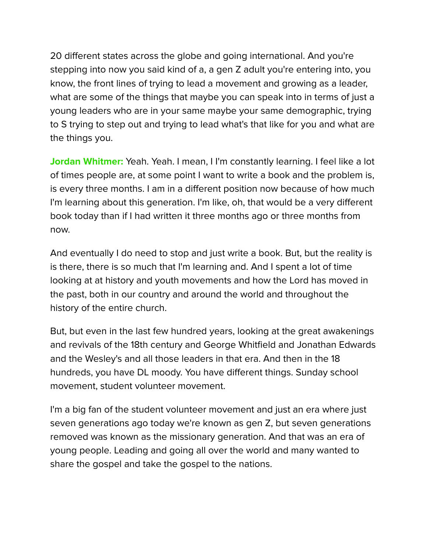20 different states across the globe and going international. And you're stepping into now you said kind of a, a gen Z adult you're entering into, you know, the front lines of trying to lead a movement and growing as a leader, what are some of the things that maybe you can speak into in terms of just a young leaders who are in your same maybe your same demographic, trying to S trying to step out and trying to lead what's that like for you and what are the things you.

**Jordan Whitmer:** Yeah. Yeah. I mean, I I'm constantly learning. I feel like a lot of times people are, at some point I want to write a book and the problem is, is every three months. I am in a different position now because of how much I'm learning about this generation. I'm like, oh, that would be a very different book today than if I had written it three months ago or three months from now.

And eventually I do need to stop and just write a book. But, but the reality is is there, there is so much that I'm learning and. And I spent a lot of time looking at at history and youth movements and how the Lord has moved in the past, both in our country and around the world and throughout the history of the entire church.

But, but even in the last few hundred years, looking at the great awakenings and revivals of the 18th century and George Whitfield and Jonathan Edwards and the Wesley's and all those leaders in that era. And then in the 18 hundreds, you have DL moody. You have different things. Sunday school movement, student volunteer movement.

I'm a big fan of the student volunteer movement and just an era where just seven generations ago today we're known as gen Z, but seven generations removed was known as the missionary generation. And that was an era of young people. Leading and going all over the world and many wanted to share the gospel and take the gospel to the nations.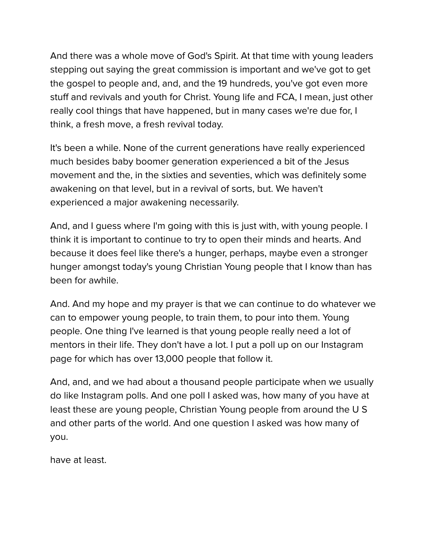And there was a whole move of God's Spirit. At that time with young leaders stepping out saying the great commission is important and we've got to get the gospel to people and, and, and the 19 hundreds, you've got even more stuff and revivals and youth for Christ. Young life and FCA, I mean, just other really cool things that have happened, but in many cases we're due for, I think, a fresh move, a fresh revival today.

It's been a while. None of the current generations have really experienced much besides baby boomer generation experienced a bit of the Jesus movement and the, in the sixties and seventies, which was definitely some awakening on that level, but in a revival of sorts, but. We haven't experienced a major awakening necessarily.

And, and I guess where I'm going with this is just with, with young people. I think it is important to continue to try to open their minds and hearts. And because it does feel like there's a hunger, perhaps, maybe even a stronger hunger amongst today's young Christian Young people that I know than has been for awhile.

And. And my hope and my prayer is that we can continue to do whatever we can to empower young people, to train them, to pour into them. Young people. One thing I've learned is that young people really need a lot of mentors in their life. They don't have a lot. I put a poll up on our Instagram page for which has over 13,000 people that follow it.

And, and, and we had about a thousand people participate when we usually do like Instagram polls. And one poll I asked was, how many of you have at least these are young people, Christian Young people from around the U S and other parts of the world. And one question I asked was how many of you.

have at least.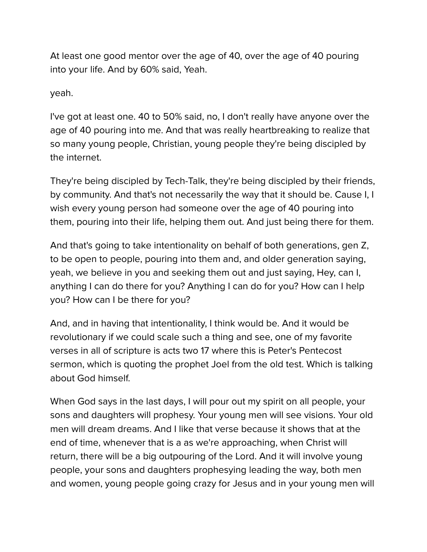At least one good mentor over the age of 40, over the age of 40 pouring into your life. And by 60% said, Yeah.

yeah.

I've got at least one. 40 to 50% said, no, I don't really have anyone over the age of 40 pouring into me. And that was really heartbreaking to realize that so many young people, Christian, young people they're being discipled by the internet.

They're being discipled by Tech-Talk, they're being discipled by their friends, by community. And that's not necessarily the way that it should be. Cause I, I wish every young person had someone over the age of 40 pouring into them, pouring into their life, helping them out. And just being there for them.

And that's going to take intentionality on behalf of both generations, gen Z, to be open to people, pouring into them and, and older generation saying, yeah, we believe in you and seeking them out and just saying, Hey, can I, anything I can do there for you? Anything I can do for you? How can I help you? How can I be there for you?

And, and in having that intentionality, I think would be. And it would be revolutionary if we could scale such a thing and see, one of my favorite verses in all of scripture is acts two 17 where this is Peter's Pentecost sermon, which is quoting the prophet Joel from the old test. Which is talking about God himself.

When God says in the last days, I will pour out my spirit on all people, your sons and daughters will prophesy. Your young men will see visions. Your old men will dream dreams. And I like that verse because it shows that at the end of time, whenever that is a as we're approaching, when Christ will return, there will be a big outpouring of the Lord. And it will involve young people, your sons and daughters prophesying leading the way, both men and women, young people going crazy for Jesus and in your young men will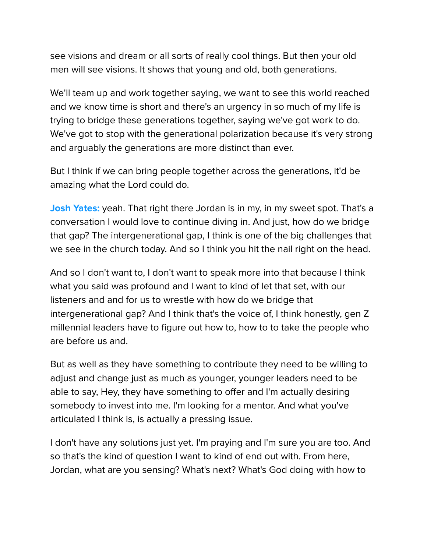see visions and dream or all sorts of really cool things. But then your old men will see visions. It shows that young and old, both generations.

We'll team up and work together saying, we want to see this world reached and we know time is short and there's an urgency in so much of my life is trying to bridge these generations together, saying we've got work to do. We've got to stop with the generational polarization because it's very strong and arguably the generations are more distinct than ever.

But I think if we can bring people together across the generations, it'd be amazing what the Lord could do.

**Josh Yates:** yeah. That right there Jordan is in my, in my sweet spot. That's a conversation I would love to continue diving in. And just, how do we bridge that gap? The intergenerational gap, I think is one of the big challenges that we see in the church today. And so I think you hit the nail right on the head.

And so I don't want to, I don't want to speak more into that because I think what you said was profound and I want to kind of let that set, with our listeners and and for us to wrestle with how do we bridge that intergenerational gap? And I think that's the voice of, I think honestly, gen Z millennial leaders have to figure out how to, how to to take the people who are before us and.

But as well as they have something to contribute they need to be willing to adjust and change just as much as younger, younger leaders need to be able to say, Hey, they have something to offer and I'm actually desiring somebody to invest into me. I'm looking for a mentor. And what you've articulated I think is, is actually a pressing issue.

I don't have any solutions just yet. I'm praying and I'm sure you are too. And so that's the kind of question I want to kind of end out with. From here, Jordan, what are you sensing? What's next? What's God doing with how to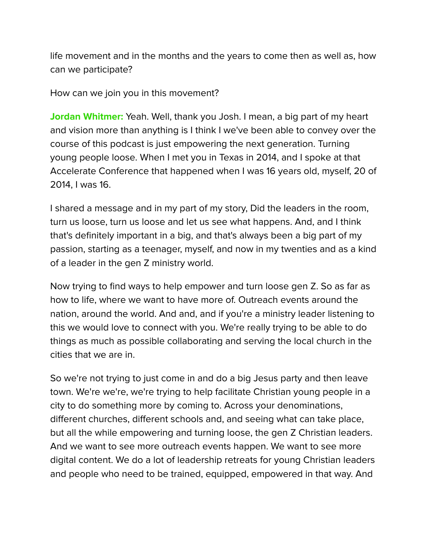life movement and in the months and the years to come then as well as, how can we participate?

How can we join you in this movement?

**Jordan Whitmer:** Yeah. Well, thank you Josh. I mean, a big part of my heart and vision more than anything is I think I we've been able to convey over the course of this podcast is just empowering the next generation. Turning young people loose. When I met you in Texas in 2014, and I spoke at that Accelerate Conference that happened when I was 16 years old, myself, 20 of 2014, I was 16.

I shared a message and in my part of my story, Did the leaders in the room, turn us loose, turn us loose and let us see what happens. And, and I think that's definitely important in a big, and that's always been a big part of my passion, starting as a teenager, myself, and now in my twenties and as a kind of a leader in the gen Z ministry world.

Now trying to find ways to help empower and turn loose gen Z. So as far as how to life, where we want to have more of. Outreach events around the nation, around the world. And and, and if you're a ministry leader listening to this we would love to connect with you. We're really trying to be able to do things as much as possible collaborating and serving the local church in the cities that we are in.

So we're not trying to just come in and do a big Jesus party and then leave town. We're we're, we're trying to help facilitate Christian young people in a city to do something more by coming to. Across your denominations, different churches, different schools and, and seeing what can take place, but all the while empowering and turning loose, the gen Z Christian leaders. And we want to see more outreach events happen. We want to see more digital content. We do a lot of leadership retreats for young Christian leaders and people who need to be trained, equipped, empowered in that way. And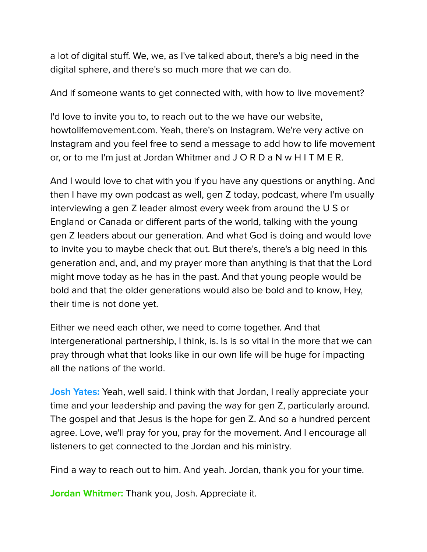a lot of digital stuff. We, we, as I've talked about, there's a big need in the digital sphere, and there's so much more that we can do.

And if someone wants to get connected with, with how to live movement?

I'd love to invite you to, to reach out to the we have our website, howtolifemovement.com. Yeah, there's on Instagram. We're very active on Instagram and you feel free to send a message to add how to life movement or, or to me I'm just at Jordan Whitmer and J O R D a N w H I T M E R.

And I would love to chat with you if you have any questions or anything. And then I have my own podcast as well, gen Z today, podcast, where I'm usually interviewing a gen Z leader almost every week from around the U S or England or Canada or different parts of the world, talking with the young gen Z leaders about our generation. And what God is doing and would love to invite you to maybe check that out. But there's, there's a big need in this generation and, and, and my prayer more than anything is that that the Lord might move today as he has in the past. And that young people would be bold and that the older generations would also be bold and to know, Hey, their time is not done yet.

Either we need each other, we need to come together. And that intergenerational partnership, I think, is. Is is so vital in the more that we can pray through what that looks like in our own life will be huge for impacting all the nations of the world.

**Josh Yates:** Yeah, well said. I think with that Jordan, I really appreciate your time and your leadership and paving the way for gen Z, particularly around. The gospel and that Jesus is the hope for gen Z. And so a hundred percent agree. Love, we'll pray for you, pray for the movement. And I encourage all listeners to get connected to the Jordan and his ministry.

Find a way to reach out to him. And yeah. Jordan, thank you for your time.

**Jordan Whitmer:** Thank you, Josh. Appreciate it.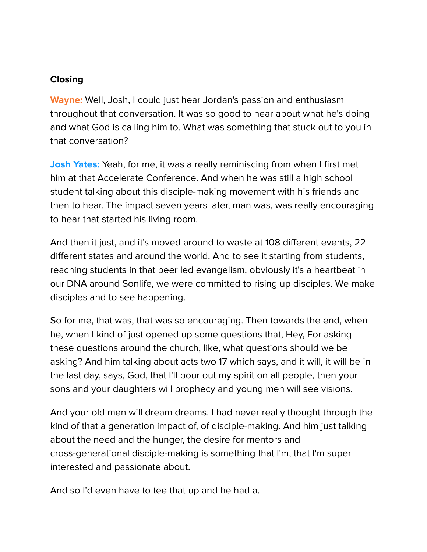## **Closing**

**Wayne:** Well, Josh, I could just hear Jordan's passion and enthusiasm throughout that conversation. It was so good to hear about what he's doing and what God is calling him to. What was something that stuck out to you in that conversation?

**Josh Yates:** Yeah, for me, it was a really reminiscing from when I first met him at that Accelerate Conference. And when he was still a high school student talking about this disciple-making movement with his friends and then to hear. The impact seven years later, man was, was really encouraging to hear that started his living room.

And then it just, and it's moved around to waste at 108 different events, 22 different states and around the world. And to see it starting from students, reaching students in that peer led evangelism, obviously it's a heartbeat in our DNA around Sonlife, we were committed to rising up disciples. We make disciples and to see happening.

So for me, that was, that was so encouraging. Then towards the end, when he, when I kind of just opened up some questions that, Hey, For asking these questions around the church, like, what questions should we be asking? And him talking about acts two 17 which says, and it will, it will be in the last day, says, God, that I'll pour out my spirit on all people, then your sons and your daughters will prophecy and young men will see visions.

And your old men will dream dreams. I had never really thought through the kind of that a generation impact of, of disciple-making. And him just talking about the need and the hunger, the desire for mentors and cross-generational disciple-making is something that I'm, that I'm super interested and passionate about.

And so I'd even have to tee that up and he had a.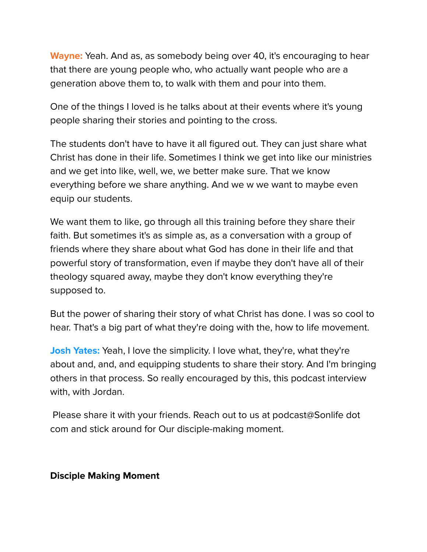**Wayne:** Yeah. And as, as somebody being over 40, it's encouraging to hear that there are young people who, who actually want people who are a generation above them to, to walk with them and pour into them.

One of the things I loved is he talks about at their events where it's young people sharing their stories and pointing to the cross.

The students don't have to have it all figured out. They can just share what Christ has done in their life. Sometimes I think we get into like our ministries and we get into like, well, we, we better make sure. That we know everything before we share anything. And we w we want to maybe even equip our students.

We want them to like, go through all this training before they share their faith. But sometimes it's as simple as, as a conversation with a group of friends where they share about what God has done in their life and that powerful story of transformation, even if maybe they don't have all of their theology squared away, maybe they don't know everything they're supposed to.

But the power of sharing their story of what Christ has done. I was so cool to hear. That's a big part of what they're doing with the, how to life movement.

**Josh Yates:** Yeah, I love the simplicity. I love what, they're, what they're about and, and, and equipping students to share their story. And I'm bringing others in that process. So really encouraged by this, this podcast interview with, with Jordan.

Please share it with your friends. Reach out to us at podcast@Sonlife dot com and stick around for Our disciple-making moment.

#### **Disciple Making Moment**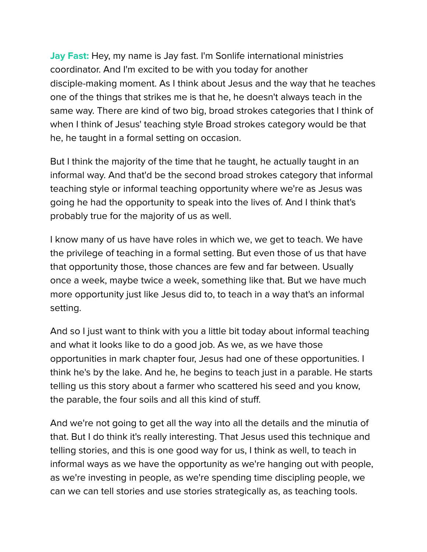**Jay Fast:** Hey, my name is Jay fast. I'm Sonlife international ministries coordinator. And I'm excited to be with you today for another disciple-making moment. As I think about Jesus and the way that he teaches one of the things that strikes me is that he, he doesn't always teach in the same way. There are kind of two big, broad strokes categories that I think of when I think of Jesus' teaching style Broad strokes category would be that he, he taught in a formal setting on occasion.

But I think the majority of the time that he taught, he actually taught in an informal way. And that'd be the second broad strokes category that informal teaching style or informal teaching opportunity where we're as Jesus was going he had the opportunity to speak into the lives of. And I think that's probably true for the majority of us as well.

I know many of us have have roles in which we, we get to teach. We have the privilege of teaching in a formal setting. But even those of us that have that opportunity those, those chances are few and far between. Usually once a week, maybe twice a week, something like that. But we have much more opportunity just like Jesus did to, to teach in a way that's an informal setting.

And so I just want to think with you a little bit today about informal teaching and what it looks like to do a good job. As we, as we have those opportunities in mark chapter four, Jesus had one of these opportunities. I think he's by the lake. And he, he begins to teach just in a parable. He starts telling us this story about a farmer who scattered his seed and you know, the parable, the four soils and all this kind of stuff.

And we're not going to get all the way into all the details and the minutia of that. But I do think it's really interesting. That Jesus used this technique and telling stories, and this is one good way for us, I think as well, to teach in informal ways as we have the opportunity as we're hanging out with people, as we're investing in people, as we're spending time discipling people, we can we can tell stories and use stories strategically as, as teaching tools.